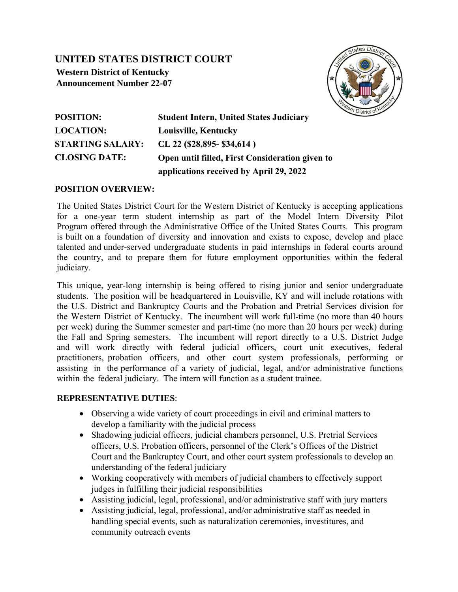# **UNITED STATES DISTRICT COURT Western District of Kentucky Announcement Number 22-07**



| <b>POSITION:</b>        | <b>Student Intern, United States Judiciary</b>  |
|-------------------------|-------------------------------------------------|
| <b>LOCATION:</b>        | Louisville, Kentucky                            |
| <b>STARTING SALARY:</b> | CL 22 $(\$28,895 - \$34,614)$                   |
| <b>CLOSING DATE:</b>    | Open until filled, First Consideration given to |
|                         | applications received by April 29, 2022         |

## **POSITION OVERVIEW:**

The United States District Court for the Western District of Kentucky is accepting applications for a one-year term student internship as part of the Model Intern Diversity Pilot Program offered through the Administrative Office of the United States Courts. This program is built on a foundation of diversity and innovation and exists to expose, develop and place talented and under-served undergraduate students in paid internships in federal courts around the country, and to prepare them for future employment opportunities within the federal judiciary.

This unique, year-long internship is being offered to rising junior and senior undergraduate students. The position will be headquartered in Louisville, KY and will include rotations with the U.S. District and Bankruptcy Courts and the Probation and Pretrial Services division for the Western District of Kentucky. The incumbent will work full-time (no more than 40 hours per week) during the Summer semester and part-time (no more than 20 hours per week) during the Fall and Spring semesters. The incumbent will report directly to a U.S. District Judge and will work directly with federal judicial officers, court unit executives, federal practitioners, probation officers, and other court system professionals, performing or assisting in the performance of a variety of judicial, legal, and/or administrative functions within the federal judiciary. The intern will function as a student trainee.

## **REPRESENTATIVE DUTIES**:

- Observing a wide variety of court proceedings in civil and criminal matters to develop a familiarity with the judicial process
- Shadowing judicial officers, judicial chambers personnel, U.S. Pretrial Services officers, U.S. Probation officers, personnel of the Clerk's Offices of the District Court and the Bankruptcy Court, and other court system professionals to develop an understanding of the federal judiciary
- Working cooperatively with members of judicial chambers to effectively support judges in fulfilling their judicial responsibilities
- Assisting judicial, legal, professional, and/or administrative staff with jury matters
- Assisting judicial, legal, professional, and/or administrative staff as needed in handling special events, such as naturalization ceremonies, investitures, and community outreach events